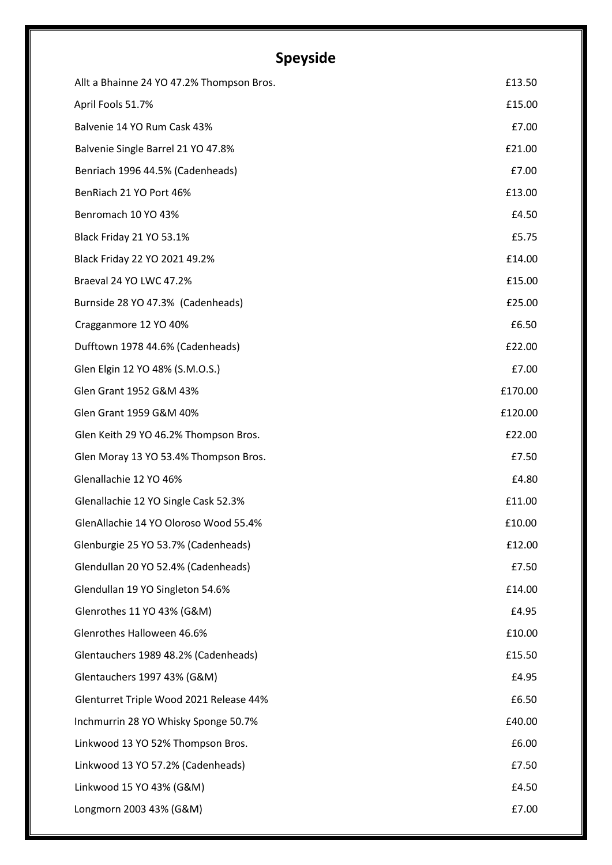# **Speyside**

| Allt a Bhainne 24 YO 47.2% Thompson Bros. | £13.50  |
|-------------------------------------------|---------|
| April Fools 51.7%                         | £15.00  |
| Balvenie 14 YO Rum Cask 43%               | £7.00   |
| Balvenie Single Barrel 21 YO 47.8%        | £21.00  |
| Benriach 1996 44.5% (Cadenheads)          | £7.00   |
| BenRiach 21 YO Port 46%                   | £13.00  |
| Benromach 10 YO 43%                       | £4.50   |
| Black Friday 21 YO 53.1%                  | £5.75   |
| Black Friday 22 YO 2021 49.2%             | £14.00  |
| Braeval 24 YO LWC 47.2%                   | £15.00  |
| Burnside 28 YO 47.3% (Cadenheads)         | £25.00  |
| Cragganmore 12 YO 40%                     | £6.50   |
| Dufftown 1978 44.6% (Cadenheads)          | £22.00  |
| Glen Elgin 12 YO 48% (S.M.O.S.)           | £7.00   |
| Glen Grant 1952 G&M 43%                   | £170.00 |
| Glen Grant 1959 G&M 40%                   | £120.00 |
| Glen Keith 29 YO 46.2% Thompson Bros.     | £22.00  |
| Glen Moray 13 YO 53.4% Thompson Bros.     | £7.50   |
| Glenallachie 12 YO 46%                    | £4.80   |
| Glenallachie 12 YO Single Cask 52.3%      | £11.00  |
| GlenAllachie 14 YO Oloroso Wood 55.4%     | £10.00  |
| Glenburgie 25 YO 53.7% (Cadenheads)       | £12.00  |
| Glendullan 20 YO 52.4% (Cadenheads)       | £7.50   |
| Glendullan 19 YO Singleton 54.6%          | £14.00  |
| Glenrothes 11 YO 43% (G&M)                | £4.95   |
| Glenrothes Halloween 46.6%                | £10.00  |
| Glentauchers 1989 48.2% (Cadenheads)      | £15.50  |
| Glentauchers 1997 43% (G&M)               | £4.95   |
| Glenturret Triple Wood 2021 Release 44%   | £6.50   |
| Inchmurrin 28 YO Whisky Sponge 50.7%      | £40.00  |
| Linkwood 13 YO 52% Thompson Bros.         | £6.00   |
| Linkwood 13 YO 57.2% (Cadenheads)         | £7.50   |
| Linkwood 15 YO 43% (G&M)                  | £4.50   |
| Longmorn 2003 43% (G&M)                   | £7.00   |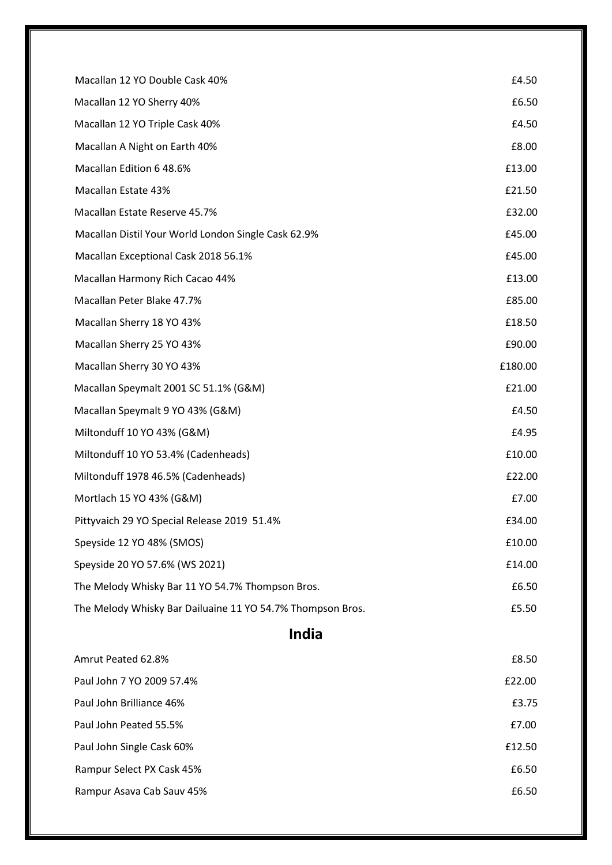| Macallan 12 YO Double Cask 40%                             | £4.50   |
|------------------------------------------------------------|---------|
| Macallan 12 YO Sherry 40%                                  | £6.50   |
| Macallan 12 YO Triple Cask 40%                             | £4.50   |
| Macallan A Night on Earth 40%                              | £8.00   |
| Macallan Edition 6 48.6%                                   | £13.00  |
| Macallan Estate 43%                                        | £21.50  |
| Macallan Estate Reserve 45.7%                              | £32.00  |
| Macallan Distil Your World London Single Cask 62.9%        | £45.00  |
| Macallan Exceptional Cask 2018 56.1%                       | £45.00  |
| Macallan Harmony Rich Cacao 44%                            | £13.00  |
| Macallan Peter Blake 47.7%                                 | £85.00  |
| Macallan Sherry 18 YO 43%                                  | £18.50  |
| Macallan Sherry 25 YO 43%                                  | £90.00  |
| Macallan Sherry 30 YO 43%                                  | £180.00 |
| Macallan Speymalt 2001 SC 51.1% (G&M)                      | £21.00  |
| Macallan Speymalt 9 YO 43% (G&M)                           | £4.50   |
| Miltonduff 10 YO 43% (G&M)                                 | £4.95   |
| Miltonduff 10 YO 53.4% (Cadenheads)                        | £10.00  |
| Miltonduff 1978 46.5% (Cadenheads)                         | £22.00  |
| Mortlach 15 YO 43% (G&M)                                   | £7.00   |
| Pittyvaich 29 YO Special Release 2019 51.4%                | £34.00  |
| Speyside 12 YO 48% (SMOS)                                  | £10.00  |
| Speyside 20 YO 57.6% (WS 2021)                             | £14.00  |
| The Melody Whisky Bar 11 YO 54.7% Thompson Bros.           | £6.50   |
| The Melody Whisky Bar Dailuaine 11 YO 54.7% Thompson Bros. | £5.50   |

#### **India**

| Amrut Peated 62.8%        | £8.50  |
|---------------------------|--------|
| Paul John 7 YO 2009 57.4% | £22.00 |
| Paul John Brilliance 46%  | £3.75  |
| Paul John Peated 55.5%    | £7.00  |
| Paul John Single Cask 60% | £12.50 |
| Rampur Select PX Cask 45% | £6.50  |
| Rampur Asava Cab Sauv 45% | £6.50  |
|                           |        |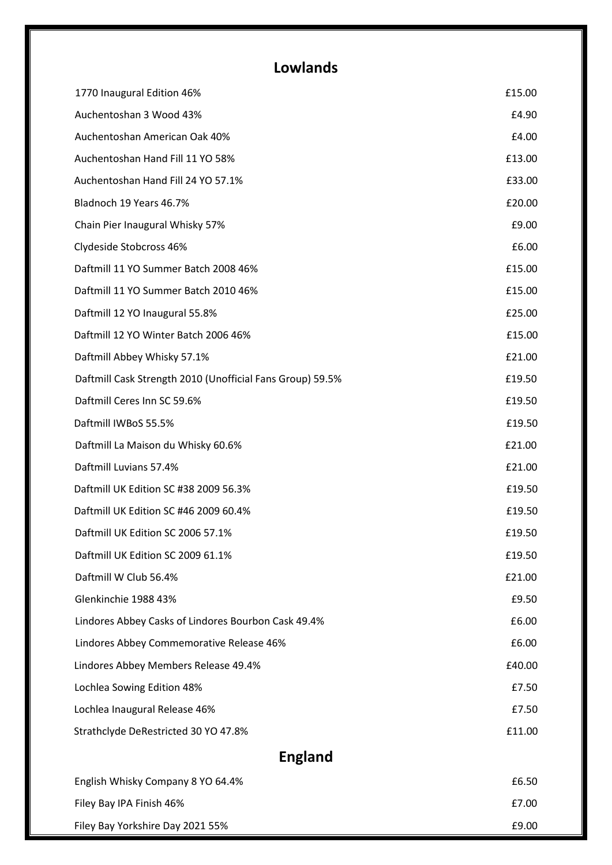### **Lowlands**

| 1770 Inaugural Edition 46%                                | £15.00 |
|-----------------------------------------------------------|--------|
| Auchentoshan 3 Wood 43%                                   | £4.90  |
| Auchentoshan American Oak 40%                             | £4.00  |
| Auchentoshan Hand Fill 11 YO 58%                          | £13.00 |
| Auchentoshan Hand Fill 24 YO 57.1%                        | £33.00 |
| Bladnoch 19 Years 46.7%                                   | £20.00 |
| Chain Pier Inaugural Whisky 57%                           | £9.00  |
| Clydeside Stobcross 46%                                   | £6.00  |
| Daftmill 11 YO Summer Batch 2008 46%                      | £15.00 |
| Daftmill 11 YO Summer Batch 2010 46%                      | £15.00 |
| Daftmill 12 YO Inaugural 55.8%                            | £25.00 |
| Daftmill 12 YO Winter Batch 2006 46%                      | £15.00 |
| Daftmill Abbey Whisky 57.1%                               | £21.00 |
| Daftmill Cask Strength 2010 (Unofficial Fans Group) 59.5% | £19.50 |
| Daftmill Ceres Inn SC 59.6%                               | £19.50 |
| Daftmill IWBoS 55.5%                                      | £19.50 |
| Daftmill La Maison du Whisky 60.6%                        | £21.00 |
| Daftmill Luvians 57.4%                                    | £21.00 |
| Daftmill UK Edition SC #38 2009 56.3%                     | £19.50 |
| Daftmill UK Edition SC #46 2009 60.4%                     | £19.50 |
| Daftmill UK Edition SC 2006 57.1%                         | £19.50 |
| Daftmill UK Edition SC 2009 61.1%                         | £19.50 |
| Daftmill W Club 56.4%                                     | £21.00 |
| Glenkinchie 1988 43%                                      | £9.50  |
| Lindores Abbey Casks of Lindores Bourbon Cask 49.4%       | £6.00  |
| Lindores Abbey Commemorative Release 46%                  | £6.00  |
| Lindores Abbey Members Release 49.4%                      | £40.00 |
| Lochlea Sowing Edition 48%                                | £7.50  |
| Lochlea Inaugural Release 46%                             | £7.50  |
| Strathclyde DeRestricted 30 YO 47.8%                      | £11.00 |
| <b>England</b>                                            |        |
| English Whisky Company 8 YO 64.4%                         | £6.50  |
| Filey Bay IPA Finish 46%                                  | £7.00  |

Filey Bay Yorkshire Day 2021 55% **E9.00**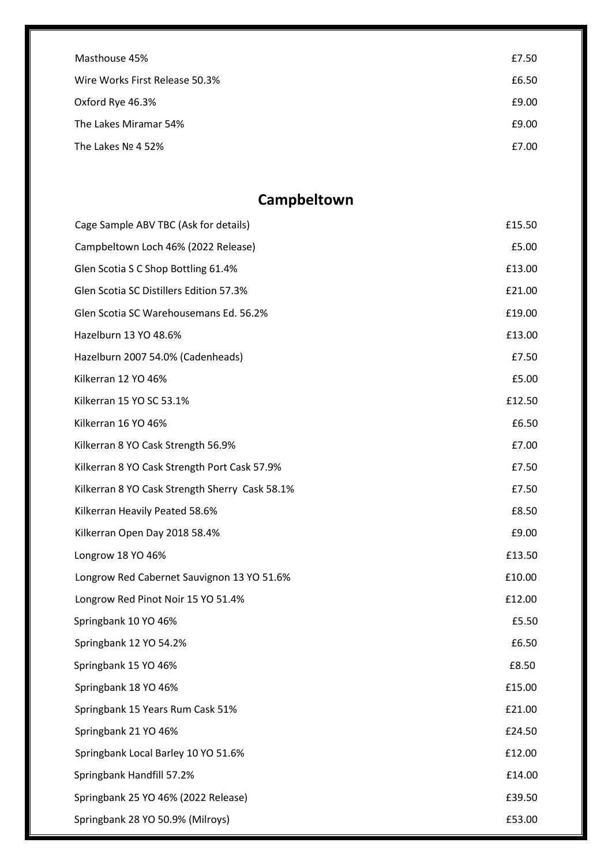| Masthouse 45%                  | £7.50 |
|--------------------------------|-------|
| Wire Works First Release 50.3% | £6.50 |
| Oxford Rye 46.3%               | £9.00 |
| The Lakes Miramar 54%          | £9.00 |
| The Lakes $N2$ 4 52%           | £7.00 |

## **Campbeltown**

| Cage Sample ABV TBC (Ask for details)          | £15.50 |
|------------------------------------------------|--------|
| Campbeltown Loch 46% (2022 Release)            | £5.00  |
| Glen Scotia S C Shop Bottling 61.4%            | £13.00 |
| Glen Scotia SC Distillers Edition 57.3%        | £21.00 |
| Glen Scotia SC Warehousemans Ed. 56.2%         | £19.00 |
| Hazelburn 13 YO 48.6%                          | £13.00 |
| Hazelburn 2007 54.0% (Cadenheads)              | £7.50  |
| Kilkerran 12 YO 46%                            | £5.00  |
| Kilkerran 15 YO SC 53.1%                       | £12.50 |
| Kilkerran 16 YO 46%                            | £6.50  |
| Kilkerran 8 YO Cask Strength 56.9%             | £7.00  |
| Kilkerran 8 YO Cask Strength Port Cask 57.9%   | £7.50  |
| Kilkerran 8 YO Cask Strength Sherry Cask 58.1% | £7.50  |
| Kilkerran Heavily Peated 58.6%                 | £8.50  |
| Kilkerran Open Day 2018 58.4%                  | £9.00  |
| Longrow 18 YO 46%                              | £13.50 |
| Longrow Red Cabernet Sauvignon 13 YO 51.6%     | £10.00 |
| Longrow Red Pinot Noir 15 YO 51.4%             | £12.00 |
| Springbank 10 YO 46%                           | £5.50  |
| Springbank 12 YO 54.2%                         | £6.50  |
| Springbank 15 YO 46%                           | £8.50  |
| Springbank 18 YO 46%                           | £15.00 |
| Springbank 15 Years Rum Cask 51%               | £21.00 |
| Springbank 21 YO 46%                           | £24.50 |
| Springbank Local Barley 10 YO 51.6%            | £12.00 |
| Springbank Handfill 57.2%                      | £14.00 |
| Springbank 25 YO 46% (2022 Release)            | £39.50 |
| Springbank 28 YO 50.9% (Milroys)               | £53.00 |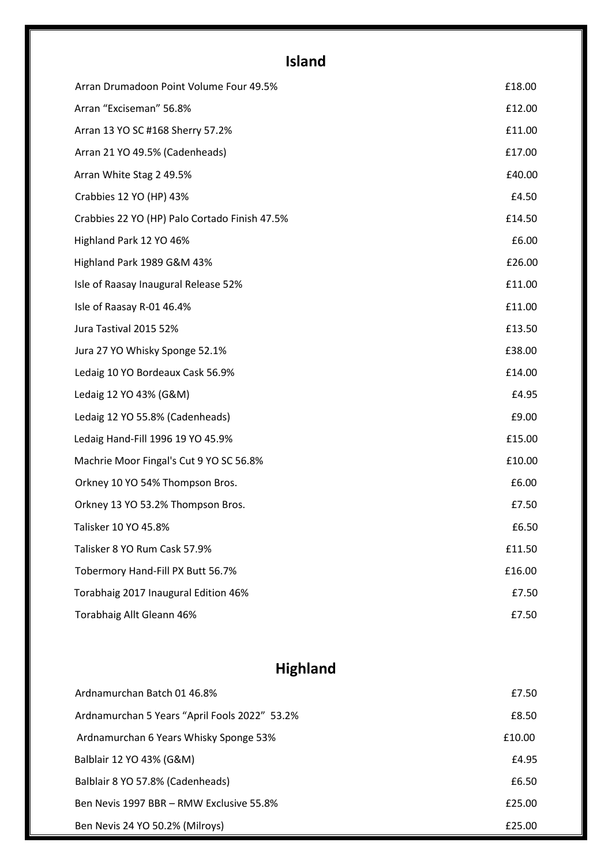# **Island**

| Arran Drumadoon Point Volume Four 49.5%       | £18.00 |
|-----------------------------------------------|--------|
| Arran "Exciseman" 56.8%                       | £12.00 |
| Arran 13 YO SC #168 Sherry 57.2%              | £11.00 |
| Arran 21 YO 49.5% (Cadenheads)                | £17.00 |
| Arran White Stag 2 49.5%                      | £40.00 |
| Crabbies 12 YO (HP) 43%                       | £4.50  |
| Crabbies 22 YO (HP) Palo Cortado Finish 47.5% | £14.50 |
| Highland Park 12 YO 46%                       | £6.00  |
| Highland Park 1989 G&M 43%                    | £26.00 |
| Isle of Raasay Inaugural Release 52%          | £11.00 |
| Isle of Raasay R-01 46.4%                     | £11.00 |
| Jura Tastival 2015 52%                        | £13.50 |
| Jura 27 YO Whisky Sponge 52.1%                | £38.00 |
| Ledaig 10 YO Bordeaux Cask 56.9%              | £14.00 |
| Ledaig 12 YO 43% (G&M)                        | £4.95  |
| Ledaig 12 YO 55.8% (Cadenheads)               | £9.00  |
| Ledaig Hand-Fill 1996 19 YO 45.9%             | £15.00 |
| Machrie Moor Fingal's Cut 9 YO SC 56.8%       | £10.00 |
| Orkney 10 YO 54% Thompson Bros.               | £6.00  |
| Orkney 13 YO 53.2% Thompson Bros.             | £7.50  |
| Talisker 10 YO 45.8%                          | £6.50  |
| Talisker 8 YO Rum Cask 57.9%                  | £11.50 |
| Tobermory Hand-Fill PX Butt 56.7%             | £16.00 |
| Torabhaig 2017 Inaugural Edition 46%          | £7.50  |
| Torabhaig Allt Gleann 46%                     | £7.50  |

# **Highland**

| Ardnamurchan Batch 01 46.8%                   | £7.50  |
|-----------------------------------------------|--------|
| Ardnamurchan 5 Years "April Fools 2022" 53.2% | £8.50  |
| Ardnamurchan 6 Years Whisky Sponge 53%        | £10.00 |
| Balblair 12 YO 43% (G&M)                      | £4.95  |
| Balblair 8 YO 57.8% (Cadenheads)              | £6.50  |
| Ben Nevis 1997 BBR - RMW Exclusive 55.8%      | £25.00 |
| Ben Nevis 24 YO 50.2% (Milroys)               | £25.00 |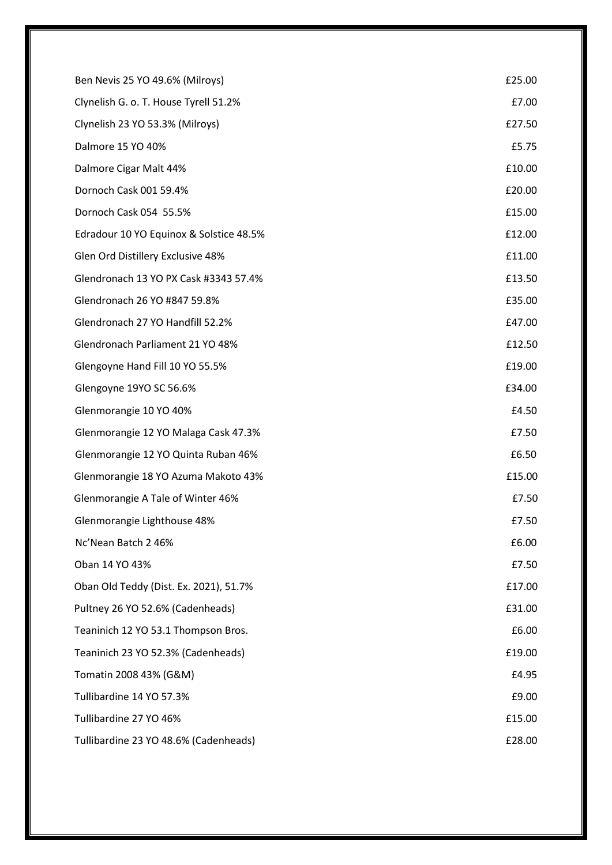| Ben Nevis 25 YO 49.6% (Milroys)         | £25.00 |
|-----------------------------------------|--------|
| Clynelish G. o. T. House Tyrell 51.2%   | £7.00  |
| Clynelish 23 YO 53.3% (Milroys)         | £27.50 |
| Dalmore 15 YO 40%                       | £5.75  |
| Dalmore Cigar Malt 44%                  | £10.00 |
| Dornoch Cask 001 59.4%                  | £20.00 |
| Dornoch Cask 054 55.5%                  | £15.00 |
| Edradour 10 YO Equinox & Solstice 48.5% | £12.00 |
| Glen Ord Distillery Exclusive 48%       | £11.00 |
| Glendronach 13 YO PX Cask #3343 57.4%   | £13.50 |
| Glendronach 26 YO #847 59.8%            | £35.00 |
| Glendronach 27 YO Handfill 52.2%        | £47.00 |
| Glendronach Parliament 21 YO 48%        | £12.50 |
| Glengoyne Hand Fill 10 YO 55.5%         | £19.00 |
| Glengoyne 19YO SC 56.6%                 | £34.00 |
| Glenmorangie 10 YO 40%                  | £4.50  |
| Glenmorangie 12 YO Malaga Cask 47.3%    | £7.50  |
| Glenmorangie 12 YO Quinta Ruban 46%     | £6.50  |
| Glenmorangie 18 YO Azuma Makoto 43%     | £15.00 |
| Glenmorangie A Tale of Winter 46%       | £7.50  |
| Glenmorangie Lighthouse 48%             | £7.50  |
| Nc'Nean Batch 2 46%                     | £6.00  |
| Oban 14 YO 43%                          | £7.50  |
| Oban Old Teddy (Dist. Ex. 2021), 51.7%  | £17.00 |
| Pultney 26 YO 52.6% (Cadenheads)        | £31.00 |
| Teaninich 12 YO 53.1 Thompson Bros.     | £6.00  |
| Teaninich 23 YO 52.3% (Cadenheads)      | £19.00 |
| Tomatin 2008 43% (G&M)                  | £4.95  |
| Tullibardine 14 YO 57.3%                | £9.00  |
| Tullibardine 27 YO 46%                  | £15.00 |
| Tullibardine 23 YO 48.6% (Cadenheads)   | £28.00 |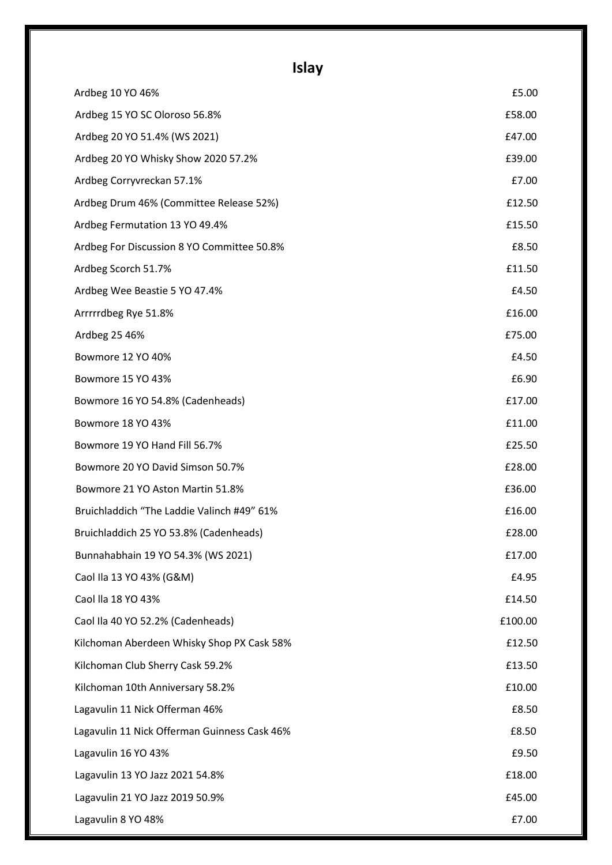# **Islay**

| Ardbeg 10 YO 46%                             | £5.00   |
|----------------------------------------------|---------|
| Ardbeg 15 YO SC Oloroso 56.8%                | £58.00  |
| Ardbeg 20 YO 51.4% (WS 2021)                 | £47.00  |
| Ardbeg 20 YO Whisky Show 2020 57.2%          | £39.00  |
| Ardbeg Corryvreckan 57.1%                    | £7.00   |
| Ardbeg Drum 46% (Committee Release 52%)      | £12.50  |
| Ardbeg Fermutation 13 YO 49.4%               | £15.50  |
| Ardbeg For Discussion 8 YO Committee 50.8%   | £8.50   |
| Ardbeg Scorch 51.7%                          | £11.50  |
| Ardbeg Wee Beastie 5 YO 47.4%                | £4.50   |
| Arrrrrdbeg Rye 51.8%                         | £16.00  |
| Ardbeg 25 46%                                | £75.00  |
| Bowmore 12 YO 40%                            | £4.50   |
| Bowmore 15 YO 43%                            | £6.90   |
| Bowmore 16 YO 54.8% (Cadenheads)             | £17.00  |
| Bowmore 18 YO 43%                            | £11.00  |
| Bowmore 19 YO Hand Fill 56.7%                | £25.50  |
| Bowmore 20 YO David Simson 50.7%             | £28.00  |
| Bowmore 21 YO Aston Martin 51.8%             | £36.00  |
| Bruichladdich "The Laddie Valinch #49" 61%   | £16.00  |
| Bruichladdich 25 YO 53.8% (Cadenheads)       | £28.00  |
| Bunnahabhain 19 YO 54.3% (WS 2021)           | £17.00  |
| Caol Ila 13 YO 43% (G&M)                     | £4.95   |
| Caol lla 18 YO 43%                           | £14.50  |
| Caol Ila 40 YO 52.2% (Cadenheads)            | £100.00 |
| Kilchoman Aberdeen Whisky Shop PX Cask 58%   | £12.50  |
| Kilchoman Club Sherry Cask 59.2%             | £13.50  |
| Kilchoman 10th Anniversary 58.2%             | £10.00  |
| Lagavulin 11 Nick Offerman 46%               | £8.50   |
| Lagavulin 11 Nick Offerman Guinness Cask 46% | £8.50   |
| Lagavulin 16 YO 43%                          | £9.50   |
| Lagavulin 13 YO Jazz 2021 54.8%              | £18.00  |
| Lagavulin 21 YO Jazz 2019 50.9%              | £45.00  |
| Lagavulin 8 YO 48%                           | £7.00   |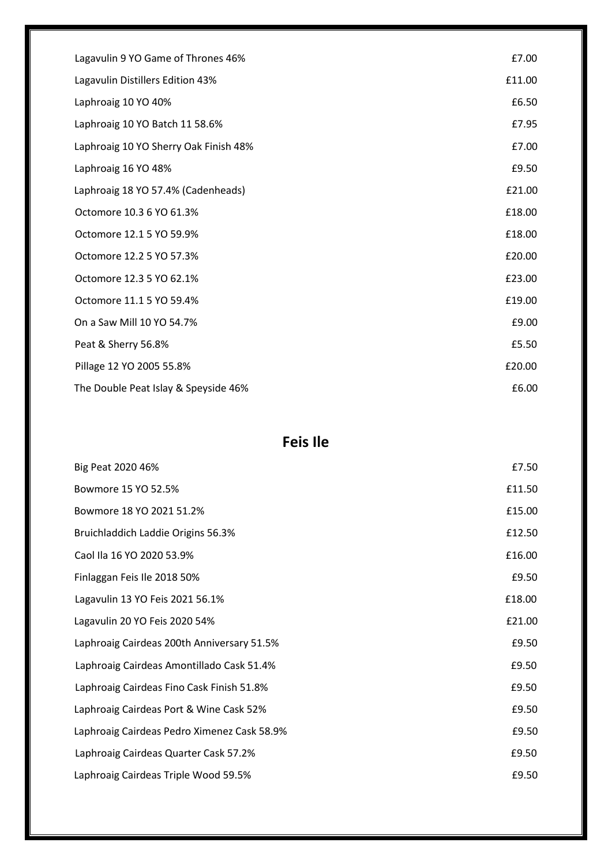| Lagavulin 9 YO Game of Thrones 46%    | £7.00  |
|---------------------------------------|--------|
| Lagavulin Distillers Edition 43%      | £11.00 |
| Laphroaig 10 YO 40%                   | £6.50  |
| Laphroaig 10 YO Batch 11 58.6%        | £7.95  |
| Laphroaig 10 YO Sherry Oak Finish 48% | £7.00  |
| Laphroaig 16 YO 48%                   | £9.50  |
| Laphroaig 18 YO 57.4% (Cadenheads)    | £21.00 |
| Octomore 10.3 6 YO 61.3%              | £18.00 |
| Octomore 12.1 5 YO 59.9%              | £18.00 |
| Octomore 12.2 5 YO 57.3%              | £20.00 |
| Octomore 12.3 5 YO 62.1%              | £23.00 |
| Octomore 11.1 5 YO 59.4%              | £19.00 |
| On a Saw Mill 10 YO 54.7%             | £9.00  |
| Peat & Sherry 56.8%                   | £5.50  |
| Pillage 12 YO 2005 55.8%              | £20.00 |
| The Double Peat Islay & Speyside 46%  | £6.00  |

#### **Feis Ile**

| Big Peat 2020 46%                           | £7.50  |
|---------------------------------------------|--------|
| Bowmore 15 YO 52.5%                         | £11.50 |
| Bowmore 18 YO 2021 51.2%                    | £15.00 |
| Bruichladdich Laddie Origins 56.3%          | £12.50 |
| Caol Ila 16 YO 2020 53.9%                   | £16.00 |
| Finlaggan Feis Ile 2018 50%                 | £9.50  |
| Lagavulin 13 YO Feis 2021 56.1%             | £18.00 |
| Lagavulin 20 YO Feis 2020 54%               | £21.00 |
| Laphroaig Cairdeas 200th Anniversary 51.5%  | £9.50  |
| Laphroaig Cairdeas Amontillado Cask 51.4%   | £9.50  |
| Laphroaig Cairdeas Fino Cask Finish 51.8%   | £9.50  |
| Laphroaig Cairdeas Port & Wine Cask 52%     | £9.50  |
| Laphroaig Cairdeas Pedro Ximenez Cask 58.9% | £9.50  |
| Laphroaig Cairdeas Quarter Cask 57.2%       | £9.50  |
| Laphroaig Cairdeas Triple Wood 59.5%        | £9.50  |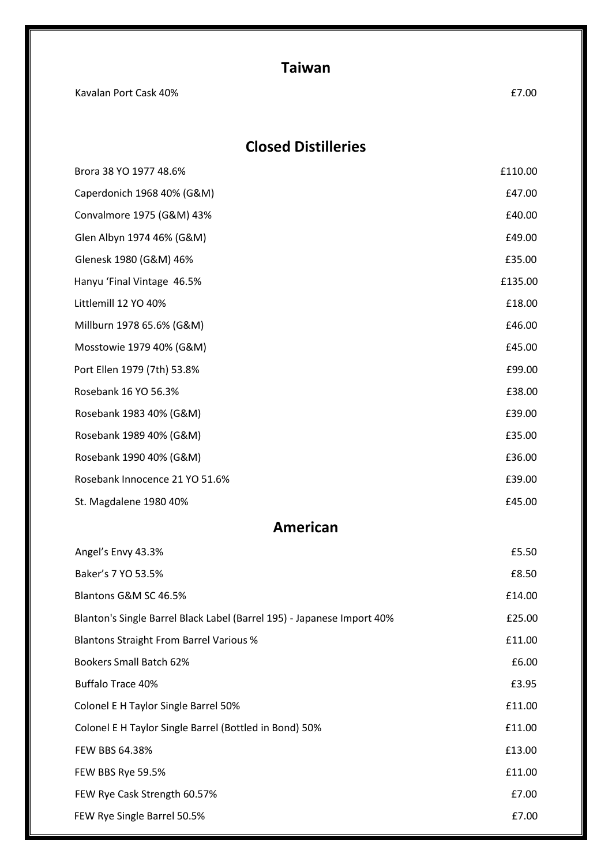| Taiwan |
|--------|
|        |
|        |

| Kavalan Port Cask 40%          | £7.00   |
|--------------------------------|---------|
| <b>Closed Distilleries</b>     |         |
| Brora 38 YO 1977 48.6%         | £110.00 |
| Caperdonich 1968 40% (G&M)     | £47.00  |
| Convalmore 1975 (G&M) 43%      | £40.00  |
| Glen Albyn 1974 46% (G&M)      | £49.00  |
| Glenesk 1980 (G&M) 46%         | £35.00  |
| Hanyu 'Final Vintage 46.5%     | £135.00 |
| Littlemill 12 YO 40%           | £18.00  |
| Millburn 1978 65.6% (G&M)      | £46.00  |
| Mosstowie 1979 40% (G&M)       | £45.00  |
| Port Ellen 1979 (7th) 53.8%    | £99.00  |
| Rosebank 16 YO 56.3%           | £38.00  |
| Rosebank 1983 40% (G&M)        | £39.00  |
| Rosebank 1989 40% (G&M)        | £35.00  |
| Rosebank 1990 40% (G&M)        | £36.00  |
| Rosebank Innocence 21 YO 51.6% | £39.00  |
| St. Magdalene 1980 40%         | £45.00  |
| American                       |         |

#### **American**

| Angel's Envy 43.3%                                                     | £5.50  |
|------------------------------------------------------------------------|--------|
| Baker's 7 YO 53.5%                                                     | £8.50  |
| Blantons G&M SC 46.5%                                                  | £14.00 |
| Blanton's Single Barrel Black Label (Barrel 195) - Japanese Import 40% | £25.00 |
| <b>Blantons Straight From Barrel Various %</b>                         | £11.00 |
| <b>Bookers Small Batch 62%</b>                                         | £6.00  |
| <b>Buffalo Trace 40%</b>                                               | £3.95  |
| Colonel E H Taylor Single Barrel 50%                                   | £11.00 |
| Colonel E H Taylor Single Barrel (Bottled in Bond) 50%                 | £11.00 |
| <b>FEW BBS 64.38%</b>                                                  | £13.00 |
| FEW BBS Rye 59.5%                                                      | £11.00 |
| FEW Rye Cask Strength 60.57%                                           | £7.00  |
| FEW Rye Single Barrel 50.5%                                            | £7.00  |
|                                                                        |        |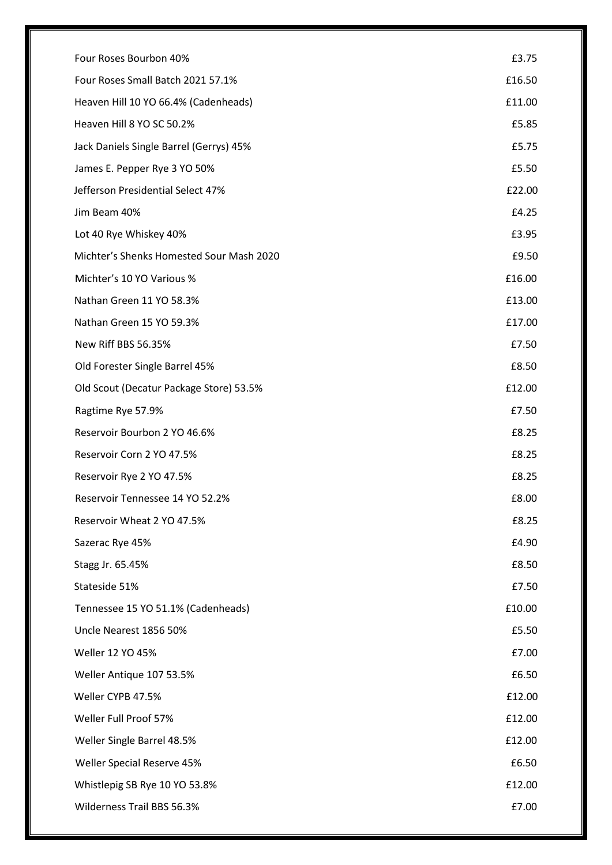| Four Roses Bourbon 40%                   | £3.75  |
|------------------------------------------|--------|
|                                          |        |
| Four Roses Small Batch 2021 57.1%        | £16.50 |
| Heaven Hill 10 YO 66.4% (Cadenheads)     | £11.00 |
| Heaven Hill 8 YO SC 50.2%                | £5.85  |
| Jack Daniels Single Barrel (Gerrys) 45%  | £5.75  |
| James E. Pepper Rye 3 YO 50%             | £5.50  |
| Jefferson Presidential Select 47%        | £22.00 |
| Jim Beam 40%                             | £4.25  |
| Lot 40 Rye Whiskey 40%                   | £3.95  |
| Michter's Shenks Homested Sour Mash 2020 | £9.50  |
| Michter's 10 YO Various %                | £16.00 |
| Nathan Green 11 YO 58.3%                 | £13.00 |
| Nathan Green 15 YO 59.3%                 | £17.00 |
| New Riff BBS 56.35%                      | £7.50  |
| Old Forester Single Barrel 45%           | £8.50  |
| Old Scout (Decatur Package Store) 53.5%  | £12.00 |
| Ragtime Rye 57.9%                        | £7.50  |
| Reservoir Bourbon 2 YO 46.6%             | £8.25  |
| Reservoir Corn 2 YO 47.5%                | £8.25  |
| Reservoir Rye 2 YO 47.5%                 | £8.25  |
| Reservoir Tennessee 14 YO 52.2%          | £8.00  |
| Reservoir Wheat 2 YO 47.5%               | £8.25  |
| Sazerac Rye 45%                          | £4.90  |
| Stagg Jr. 65.45%                         | £8.50  |
| Stateside 51%                            | £7.50  |
| Tennessee 15 YO 51.1% (Cadenheads)       | £10.00 |
| Uncle Nearest 1856 50%                   | £5.50  |
| Weller 12 YO 45%                         | £7.00  |
| Weller Antique 107 53.5%                 | £6.50  |
| Weller CYPB 47.5%                        | £12.00 |
| Weller Full Proof 57%                    | £12.00 |
| Weller Single Barrel 48.5%               | £12.00 |
| Weller Special Reserve 45%               | £6.50  |
| Whistlepig SB Rye 10 YO 53.8%            | £12.00 |
| Wilderness Trail BBS 56.3%               | £7.00  |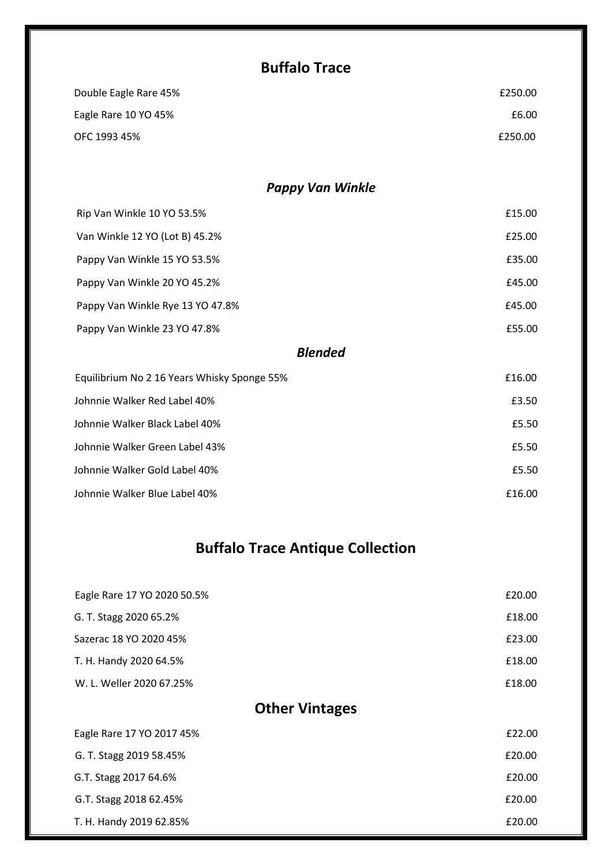## **Buffalo Trace**

| Double Eagle Rare 45% | £250.00 |
|-----------------------|---------|
| Eagle Rare 10 YO 45%  | £6.00   |
| OFC 1993 45%          | £250.00 |

#### *Pappy Van Winkle*

| Rip Van Winkle 10 YO 53.5%       | £15.00 |
|----------------------------------|--------|
| Van Winkle 12 YO (Lot B) 45.2%   | £25.00 |
| Pappy Van Winkle 15 YO 53.5%     | £35.00 |
| Pappy Van Winkle 20 YO 45.2%     | £45.00 |
| Pappy Van Winkle Rye 13 YO 47.8% | £45.00 |
| Pappy Van Winkle 23 YO 47.8%     | £55.00 |

#### *Blended*

| Equilibrium No 2 16 Years Whisky Sponge 55% | £16.00 |
|---------------------------------------------|--------|
| Johnnie Walker Red Label 40%                | £3.50  |
| Johnnie Walker Black Label 40%              | £5.50  |
| Johnnie Walker Green Label 43%              | £5.50  |
| Johnnie Walker Gold Label 40%               | £5.50  |
| Johnnie Walker Blue Label 40%               | £16.00 |

## **Buffalo Trace Antique Collection**

| Eagle Rare 17 YO 2020 50.5% | £20.00 |
|-----------------------------|--------|
| G. T. Stagg 2020 65.2%      | £18.00 |
| Sazerac 18 YO 2020 45%      | £23.00 |
| T. H. Handy 2020 64.5%      | £18.00 |
| W. L. Weller 2020 67.25%    | £18.00 |
| <b>Other Vintages</b>       |        |
| Eagle Rare 17 YO 2017 45%   | £22.00 |
| G. T. Stagg 2019 58.45%     | £20.00 |
| G.T. Stagg 2017 64.6%       | £20.00 |
| G.T. Stagg 2018 62.45%      | £20.00 |
| T. H. Handy 2019 62.85%     | £20.00 |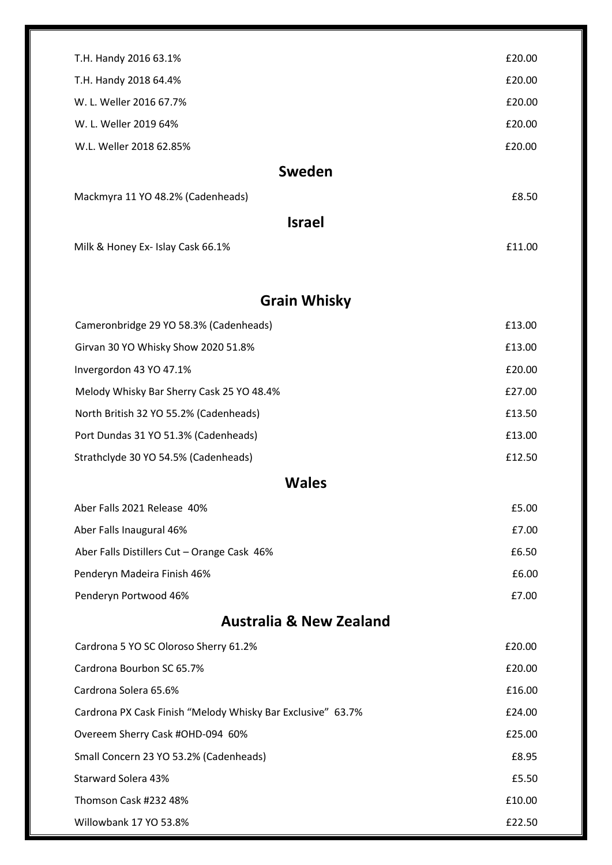| T.H. Handy 2016 63.1%                       | £20.00 |  |
|---------------------------------------------|--------|--|
| T.H. Handy 2018 64.4%                       | £20.00 |  |
| W. L. Weller 2016 67.7%                     | £20.00 |  |
| W. L. Weller 2019 64%                       | £20.00 |  |
| W.L. Weller 2018 62.85%                     | £20.00 |  |
| Sweden                                      |        |  |
| Mackmyra 11 YO 48.2% (Cadenheads)           | £8.50  |  |
| <b>Israel</b>                               |        |  |
| Milk & Honey Ex- Islay Cask 66.1%           | £11.00 |  |
|                                             |        |  |
| <b>Grain Whisky</b>                         |        |  |
| Cameronbridge 29 YO 58.3% (Cadenheads)      | £13.00 |  |
| Girvan 30 YO Whisky Show 2020 51.8%         | £13.00 |  |
| Invergordon 43 YO 47.1%                     | £20.00 |  |
| Melody Whisky Bar Sherry Cask 25 YO 48.4%   | £27.00 |  |
| North British 32 YO 55.2% (Cadenheads)      | £13.50 |  |
| Port Dundas 31 YO 51.3% (Cadenheads)        | £13.00 |  |
| Strathclyde 30 YO 54.5% (Cadenheads)        | £12.50 |  |
| <b>Wales</b>                                |        |  |
| Aber Falls 2021 Release 40%                 | £5.00  |  |
| Aber Falls Inaugural 46%                    | £7.00  |  |
| Aber Falls Distillers Cut - Orange Cask 46% | £6.50  |  |
| Penderyn Madeira Finish 46%                 | £6.00  |  |
| Penderyn Portwood 46%                       | £7.00  |  |

# **Australia & New Zealand**

| Cardrona 5 YO SC Oloroso Sherry 61.2%                       | £20.00 |
|-------------------------------------------------------------|--------|
| Cardrona Bourbon SC 65.7%                                   | £20.00 |
| Cardrona Solera 65.6%                                       | £16.00 |
| Cardrona PX Cask Finish "Melody Whisky Bar Exclusive" 63.7% | £24.00 |
| Overeem Sherry Cask #OHD-094 60%                            | £25.00 |
| Small Concern 23 YO 53.2% (Cadenheads)                      | £8.95  |
| Starward Solera 43%                                         | £5.50  |
| Thomson Cask #232 48%                                       | £10.00 |
| Willowbank 17 YO 53.8%                                      | £22.50 |
|                                                             |        |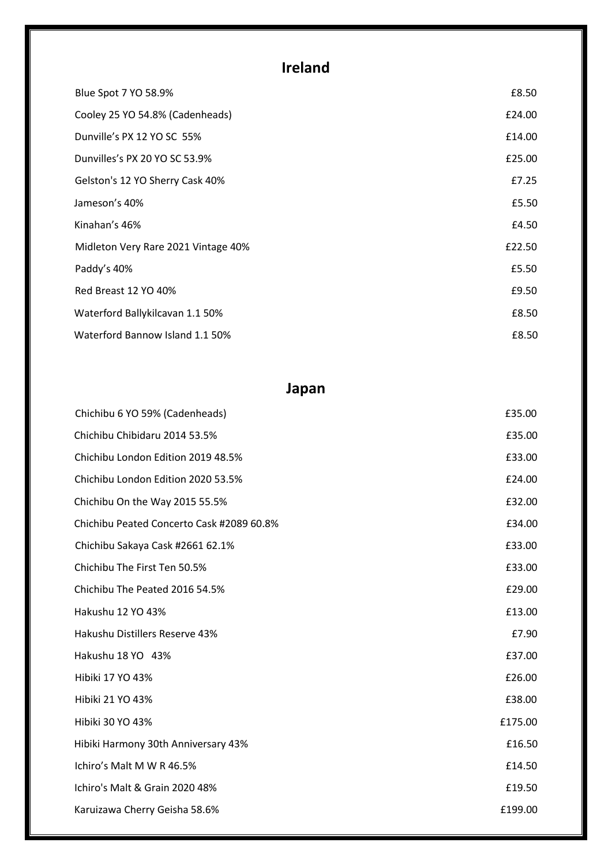# **Ireland**

| Blue Spot 7 YO 58.9%                | £8.50  |
|-------------------------------------|--------|
| Cooley 25 YO 54.8% (Cadenheads)     | £24.00 |
| Dunville's PX 12 YO SC 55%          | £14.00 |
| Dunvilles's PX 20 YO SC 53.9%       | £25.00 |
| Gelston's 12 YO Sherry Cask 40%     | £7.25  |
| Jameson's 40%                       | £5.50  |
| Kinahan's 46%                       | £4.50  |
| Midleton Very Rare 2021 Vintage 40% | £22.50 |
| Paddy's 40%                         | £5.50  |
| Red Breast 12 YO 40%                | £9.50  |
| Waterford Ballykilcavan 1.1 50%     | £8.50  |
| Waterford Bannow Island 1.1 50%     | £8.50  |

## **Japan**

| Chichibu 6 YO 59% (Cadenheads)            | £35.00  |
|-------------------------------------------|---------|
| Chichibu Chibidaru 2014 53.5%             | £35.00  |
| Chichibu London Edition 2019 48.5%        | £33.00  |
| Chichibu London Edition 2020 53.5%        | £24.00  |
| Chichibu On the Way 2015 55.5%            | £32.00  |
| Chichibu Peated Concerto Cask #2089 60.8% | £34.00  |
| Chichibu Sakaya Cask #2661 62.1%          | £33.00  |
| Chichibu The First Ten 50.5%              | £33.00  |
| Chichibu The Peated 2016 54.5%            | £29.00  |
| Hakushu 12 YO 43%                         | £13.00  |
| Hakushu Distillers Reserve 43%            | £7.90   |
| Hakushu 18 YO 43%                         | £37.00  |
| Hibiki 17 YO 43%                          | £26.00  |
| Hibiki 21 YO 43%                          | £38.00  |
| Hibiki 30 YO 43%                          | £175.00 |
| Hibiki Harmony 30th Anniversary 43%       | £16.50  |
| Ichiro's Malt M W R 46.5%                 | £14.50  |
| Ichiro's Malt & Grain 2020 48%            | £19.50  |
| Karuizawa Cherry Geisha 58.6%             | £199.00 |